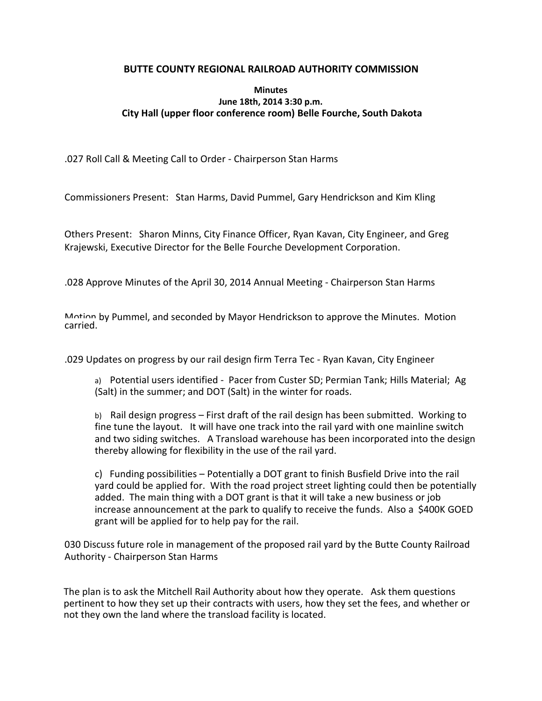## **BUTTE COUNTY REGIONAL RAILROAD AUTHORITY COMMISSION**

## **Minutes June 18th, 2014 3:30 p.m. City Hall (upper floor conference room) Belle Fourche, South Dakota**

.027 Roll Call & Meeting Call to Order - Chairperson Stan Harms

Commissioners Present: Stan Harms, David Pummel, Gary Hendrickson and Kim Kling

Others Present: Sharon Minns, City Finance Officer, Ryan Kavan, City Engineer, and Greg Krajewski, Executive Director for the Belle Fourche Development Corporation.

.028 Approve Minutes of the April 30, 2014 Annual Meeting - Chairperson Stan Harms

Motion by Pummel, and seconded by Mayor Hendrickson to approve the Minutes. Motion carried.

.029 Updates on progress by our rail design firm Terra Tec - Ryan Kavan, City Engineer

a) Potential users identified - Pacer from Custer SD; Permian Tank; Hills Material; Ag (Salt) in the summer; and DOT (Salt) in the winter for roads.

b) Rail design progress – First draft of the rail design has been submitted. Working to fine tune the layout. It will have one track into the rail yard with one mainline switch and two siding switches. A Transload warehouse has been incorporated into the design thereby allowing for flexibility in the use of the rail yard.

c) Funding possibilities – Potentially a DOT grant to finish Busfield Drive into the rail yard could be applied for. With the road project street lighting could then be potentially added. The main thing with a DOT grant is that it will take a new business or job increase announcement at the park to qualify to receive the funds. Also a \$400K GOED grant will be applied for to help pay for the rail.

030 Discuss future role in management of the proposed rail yard by the Butte County Railroad Authority - Chairperson Stan Harms

The plan is to ask the Mitchell Rail Authority about how they operate. Ask them questions pertinent to how they set up their contracts with users, how they set the fees, and whether or not they own the land where the transload facility is located.